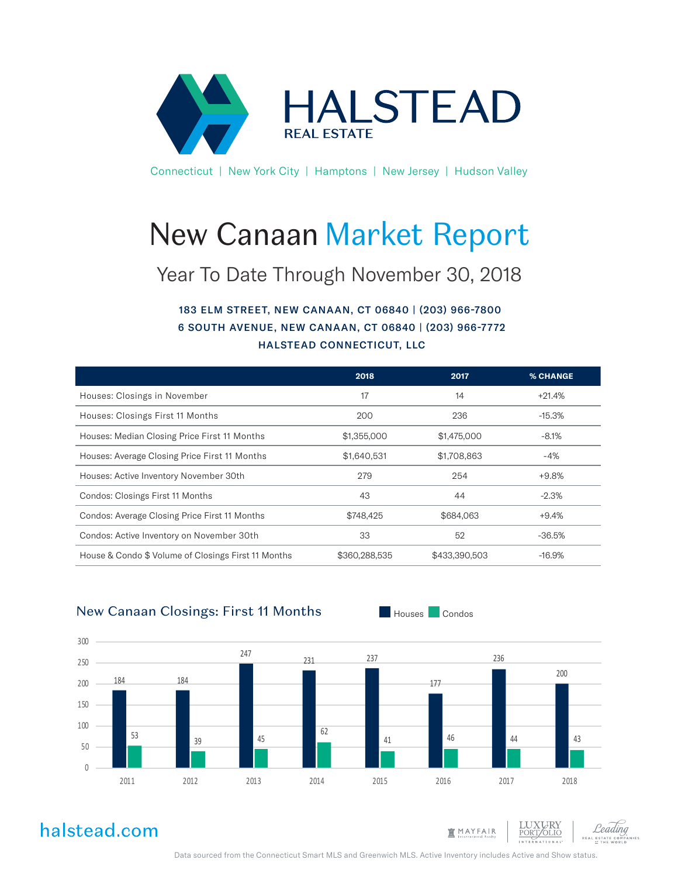

Connecticut | New York City | Hamptons | New Jersey | Hudson Valley

# New Canaan Market Report

### Year To Date Through November 30, 2018

### 183 ELM STREET, NEW CANAAN, CT 06840 | (203) 966-7800 6 SOUTH AVENUE, NEW CANAAN, CT 06840 | (203) 966-7772 HALSTEAD CONNECTICUT, LLC

|                                                     | 2018          | 2017          | <b>% CHANGE</b> |
|-----------------------------------------------------|---------------|---------------|-----------------|
| Houses: Closings in November                        | 17            | 14            | $+21.4%$        |
| Houses: Closings First 11 Months                    | 200           | 236           | $-15.3%$        |
| Houses: Median Closing Price First 11 Months        | \$1,355,000   | \$1,475,000   | $-8.1%$         |
| Houses: Average Closing Price First 11 Months       | \$1,640,531   | \$1,708,863   | -4%             |
| Houses: Active Inventory November 30th              | 279           | 254           | $+9.8%$         |
| Condos: Closings First 11 Months                    | 43            | 44            | $-2.3\%$        |
| Condos: Average Closing Price First 11 Months       | \$748,425     | \$684,063     | $+9.4%$         |
| Condos: Active Inventory on November 30th           | 33            | 52            | $-36.5%$        |
| House & Condo \$ Volume of Closings First 11 Months | \$360,288,535 | \$433,390,503 | $-16.9%$        |

### New Canaan Closings: First 11 Months



halstead.com



Data sourced from the Connecticut Smart MLS and Greenwich MLS. Active Inventory includes Active and Show status.

Houses Condos